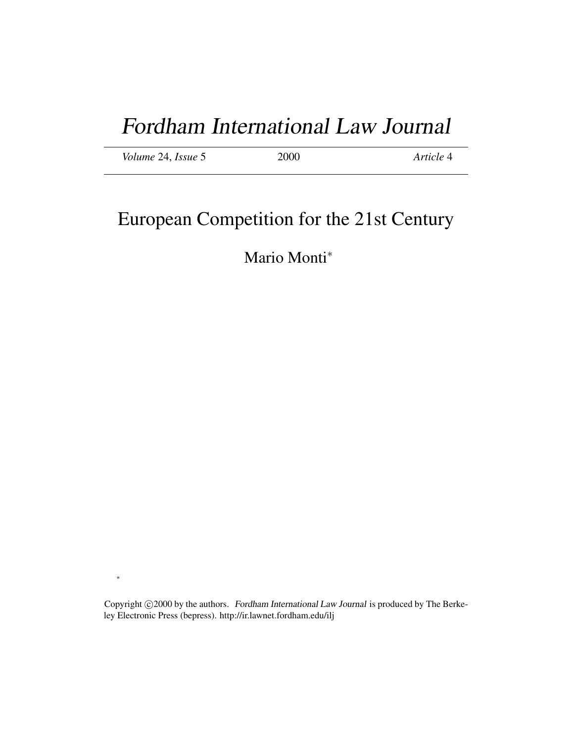# Fordham International Law Journal

| <i>Volume</i> 24, <i>Issue</i> 5 | 2000 | Article 4 |
|----------------------------------|------|-----------|
|----------------------------------|------|-----------|

# European Competition for the 21st Century

# Mario Monti<sup>∗</sup>

Copyright ©2000 by the authors. Fordham International Law Journal is produced by The Berkeley Electronic Press (bepress). http://ir.lawnet.fordham.edu/ilj

∗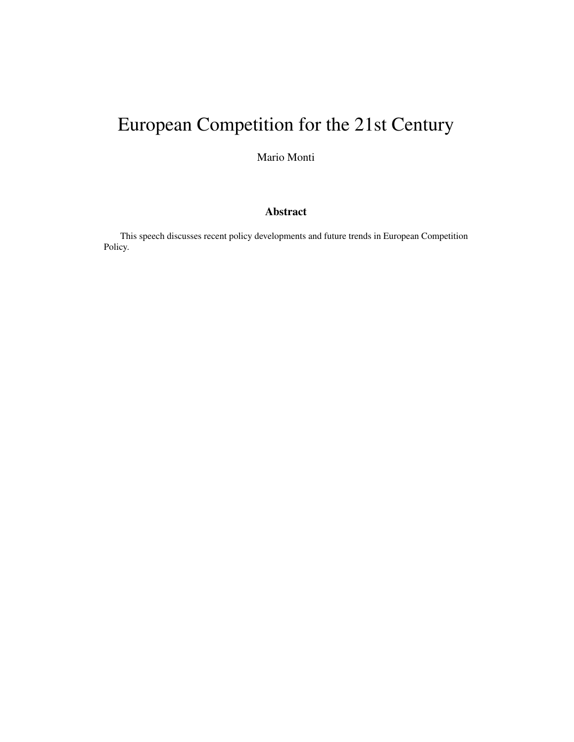# European Competition for the 21st Century

Mario Monti

# Abstract

This speech discusses recent policy developments and future trends in European Competition Policy.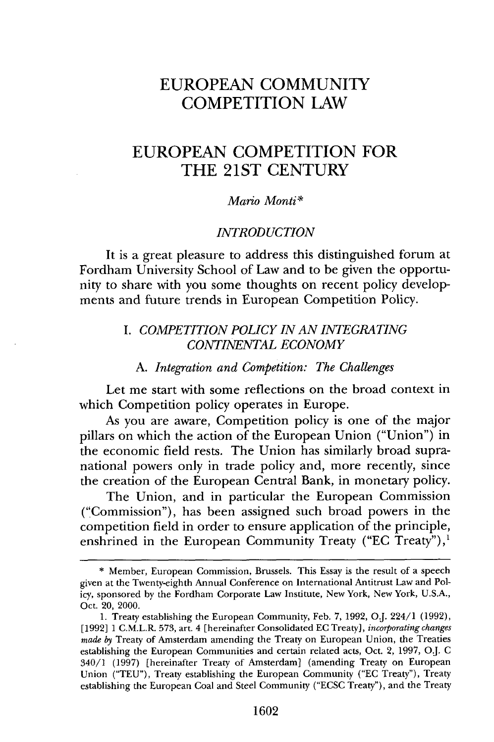# **EUROPEAN COMMUNITY COMPETITION** LAW

# **EUROPEAN COMPETITION** FOR THE **21ST CENTURY**

#### *Mario Monti\**

#### *INTRODUCTION*

It is a great pleasure to address this distinguished forum at Fordham University School of Law and to be given the opportunity to share with you some thoughts on recent policy developments and future trends in European Competition Policy.

### *I. COMPETITION POLICY IN AN INTEGRATING CONTINENTAL ECONOMY*

#### *A. Integration and Competition: The Challenges*

Let me start with some reflections on the broad context in which Competition policy operates in Europe.

As you are aware, Competition policy is one of the major pillars on which the action of the European Union ("Union") in the economic field rests. The Union has similarly broad supranational powers only in trade policy and, more recently, since the creation of the European Central Bank, in monetary policy.

The Union, and in particular the European Commission ("Commission"), has been assigned such broad powers in the competition field in order to ensure application of the principle, enshrined in the European Community Treaty ("EC Treaty"),<sup>1</sup>

<sup>\*</sup> Member, European Commission, Brussels. This Essay is the result of a speech given at the Twenty-eighth Annual Conference on International Antitrust Law and Policy, sponsored by the Fordham Corporate Law Institute, New York, New York, U.S.A., Oct. 20, 2000.

<sup>1.</sup> Treaty establishing the European Community, Feb. 7, 1992, O.J. 224/1 (1992), [1992] 1 C.M.L.R. 573, art. 4 [hereinafter Consolidated EC Treaty], *incorporating changes made by* Treaty of Amsterdam amending the Treaty on European Union, the Treaties establishing the European Communities and certain related acts, Oct. 2, 1997, **OJ.** C 340/1 (1997) [hereinafter Treaty of Amsterdam] (amending Treaty on European Union ("TEU"), Treaty establishing the European Community ("EC Treaty"), Treaty establishing the European Coal and Steel Community ("ECSC Treaty"), and the Treaty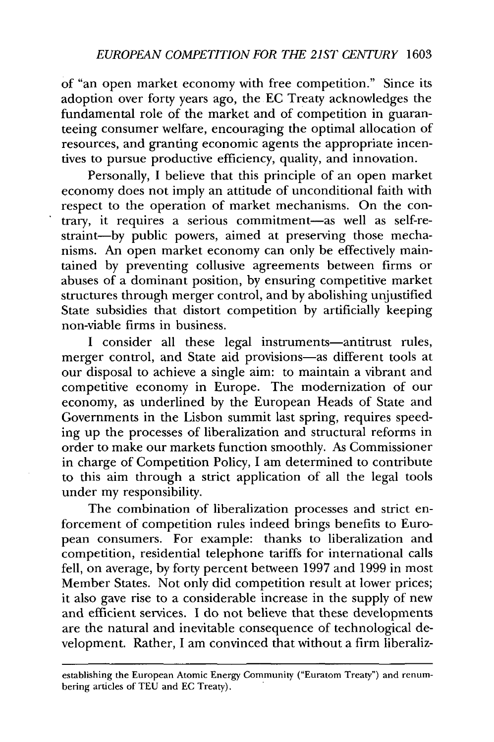of "an open market economy with free competition." Since its adoption over forty years ago, the EC Treaty acknowledges the fundamental role of the market and of competition in guaranteeing consumer welfare, encouraging the optimal allocation of resources, and granting economic agents the appropriate incentives to pursue productive efficiency, quality, and innovation.

Personally, I believe that this principle of an open market economy does not imply an attitude of unconditional faith with respect to the operation of market mechanisms. On the contrary, it requires a serious commitment-as well as self-restraint-by public powers, aimed at preserving those mechanisms. An open market economy can only be effectively maintained by preventing collusive agreements between firms or abuses of a dominant position, by ensuring competitive market structures through merger control, and by abolishing unjustified State subsidies that distort competition by artificially keeping non-viable firms in business.

I consider all these legal instruments-antitrust rules, merger control, and State aid provisions-as different tools at our disposal to achieve a single aim: to maintain a vibrant and competitive economy in Europe. The modernization of our economy, as underlined by the European Heads of State and Governments in the Lisbon summit last spring, requires speeding up the processes of liberalization and structural reforms in order to make our markets function smoothly. As Commissioner in charge of Competition Policy, I am determined to contribute to this aim through a strict application of all the legal tools under my responsibility.

The combination of liberalization processes and strict enforcement of competition rules indeed brings benefits to European consumers. For example: thanks to liberalization and competition, residential telephone tariffs for international calls fell, on average, by forty percent between 1997 and 1999 in most Member States. Not only did competition result at lower prices; it also gave rise to a considerable increase in the supply of new and efficient services. I do not believe that these developments are the natural and inevitable consequence of technological development. Rather, I am convinced that without a firm liberaliz-

establishing the European Atomic Energy Community ("Euratom Treaty") and renumbering articles of TEU and EC Treaty).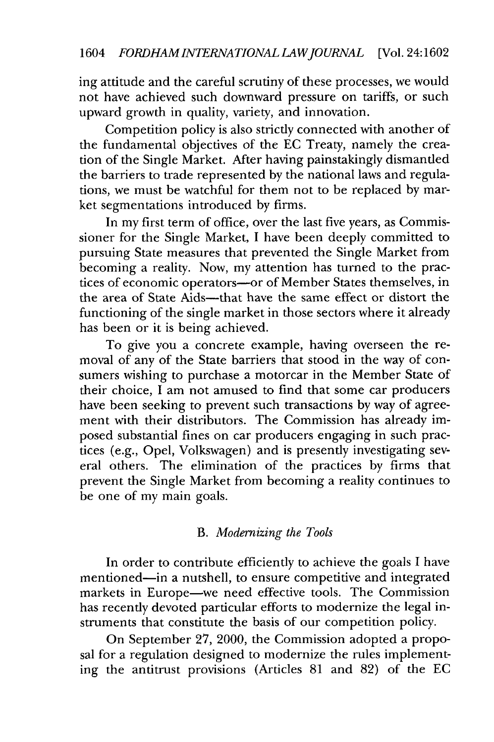ing attitude and the careful scrutiny of these processes, we would not have achieved such downward pressure on tariffs, or such upward growth in quality, variety, and innovation.

Competition policy is also strictly connected with another of the fundamental objectives of the EC Treaty, namely the creation of the Single Market. After having painstakingly dismantled the barriers to trade represented by the national laws and regulations, we must be watchful for them not to be replaced by market segmentations introduced by firms.

In my first term of office, over the last five years, as Commissioner for the Single Market, I have been deeply committed to pursuing State measures that prevented the Single Market from becoming a reality. Now, my attention has turned to the practices of economic operators-or of Member States themselves, in the area of State Aids—that have the same effect or distort the functioning of the single market in those sectors where it already has been or it is being achieved.

To give you a concrete example, having overseen the removal of any of the State barriers that stood in the way of consumers wishing to purchase a motorcar in the Member State of their choice, I am not amused to find that some car producers have been seeking to prevent such transactions by way of agreement with their distributors. The Commission has already imposed substantial fines on car producers engaging in such practices (e.g., Opel, Volkswagen) and is presently investigating several others. The elimination of the practices by firms that prevent the Single Market from becoming a reality continues to be one of my main goals.

# B. *Modernizing the Tools*

In order to contribute efficiently to achieve the goals I have mentioned-in a nutshell, to ensure competitive and integrated markets in Europe-we need effective tools. The Commission has recently devoted particular efforts to modernize the legal instruments that constitute the basis of our competition policy.

On September 27, 2000, the Commission adopted a proposal for a regulation designed to modernize the rules implementing the antitrust provisions (Articles 81 and 82) of the EC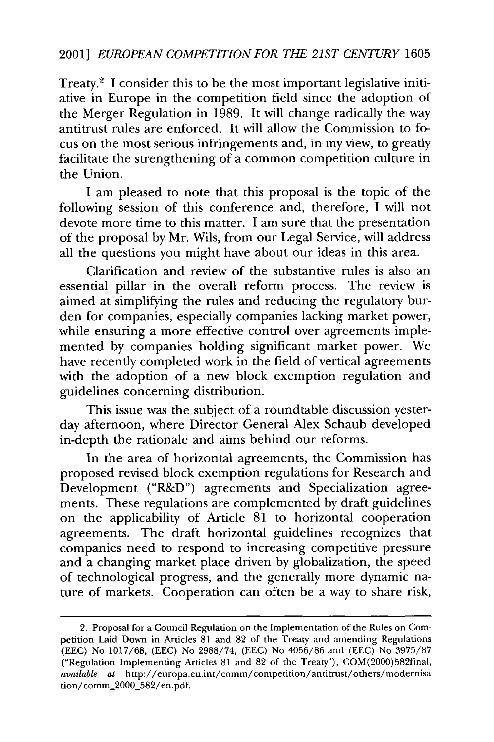Treaty.<sup>2</sup> I consider this to be the most important legislative initiative in Europe in the competition field since the adoption of the Merger Regulation in 1989. It will change radically the way antitrust rules are enforced. It will allow the Commission to focus on the most serious infringements and, in my view, to greatly facilitate the strengthening of a common competition culture in the Union.

I am pleased to note that this proposal is the topic of the following session of this conference and, therefore, I will not devote more time to this matter. I am sure that the presentation of the proposal by Mr. Wils, from our Legal Service, will address all the questions you might have about our ideas in this area.

Clarification and review of the substantive rules is also an essential pillar in the overall reform process. The review is aimed at simplifying the rules and reducing the regulatory burden for companies, especially companies lacking market power, while ensuring a more effective control over agreements implemented by companies holding significant market power. We have recently completed work in the field of vertical agreements with the adoption of a new block exemption regulation and guidelines concerning distribution.

This issue was the subject of a roundtable discussion yesterday afternoon, where Director General Alex Schaub developed in-depth the rationale and aims behind our reforms.

In the area of horizontal agreements, the Commission has proposed revised block exemption regulations for Research and Development ("R&D") agreements and Specialization agreements. These regulations are complemented by draft guidelines on the applicability of Article 81 to horizontal cooperation agreements. The draft horizontal guidelines recognizes that companies need to respond to increasing competitive pressure and a changing market place driven by globalization, the speed of technological progress, and the generally more dynamic nature of markets. Cooperation can often be a way to share risk,

<sup>2.</sup> Proposal for a Council Regulation on the Implementation of the Rules on Competition Laid Down in Articles 81 and 82 of the Treaty and amending Regulations (EEC) No 1017/68, (EEC) No 2988/74, (EEC) No 4056/86 and (EEC) No 3975/87 ("Regulation Implementing Articles 81 and 82 of the Treaty"), COM(2000)582final, *available at* http://europa.eu.int/comm/competition/antitrust/others/modernisa tion/comm\_2000\_582/en.pdf.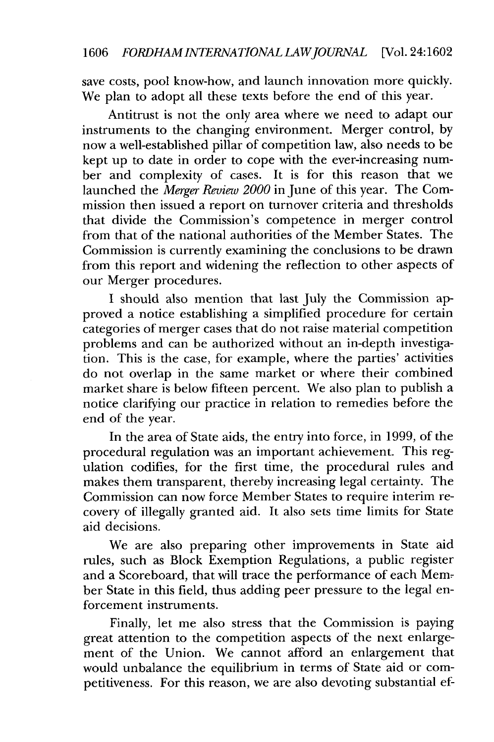save costs, pool know-how, and launch innovation more quickly. We plan to adopt all these texts before the end of this year.

Antitrust is not the only area where we need to adapt our instruments to the changing environment. Merger control, by now a well-established pillar of competition law, also needs to be kept up to date in order to cope with the ever-increasing number and complexity of cases. It is for this reason that we launched the *Merger Review 2000* in June of this year. The Commission then issued a report on turnover criteria and thresholds that divide the Commission's competence in merger control from that of the national authorities of the Member States. The Commission is currently examining the conclusions to be drawn from this report and widening the reflection to other aspects of our Merger procedures.

I should also mention that last July the Commission approved a notice establishing a simplified procedure for certain categories of merger cases that do not raise material competition problems and can be authorized without an in-depth investigation. This is the case, for example, where the parties' activities do not overlap in the same market or where their combined market share is below fifteen percent. We also plan to publish a notice clarifying our practice in relation to remedies before the end of the year.

In the area of State aids, the entry into force, in 1999, of the procedural regulation was an important achievement. This regulation codifies, for the first time, the procedural rules and makes them transparent, thereby increasing legal certainty. The Commission can now force Member States to require interim recovery of illegally granted aid. It also sets time limits for State aid decisions.

We are also preparing other improvements in State aid rules, such as Block Exemption Regulations, a public register and a Scoreboard, that will trace the performance of each Member State in this field, thus adding peer pressure to the legal enforcement instruments.

Finally, let me also stress that the Commission is paying great attention to the competition aspects of the next enlargement of the Union. We cannot afford an enlargement that would unbalance the equilibrium in terms of State aid or competitiveness. For this reason, we are also devoting substantial ef-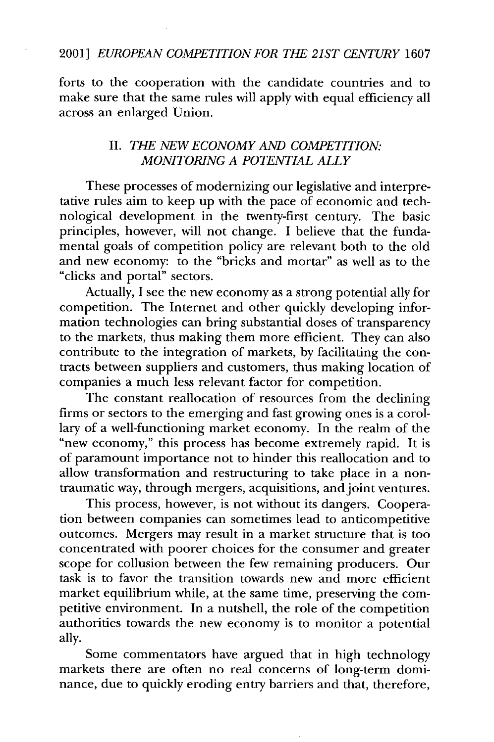### 2001] *EUROPEAN COMPETITION FOR THE 21ST CENTURY* 1607

forts to the cooperation with the candidate countries and to make sure that the same rules will apply with equal efficiency all across an enlarged Union.

## II. *THE NEW ECONOMY AND COMPETITION: MONITORING A POTENTIAL ALLY*

These processes of modernizing our legislative and interpretative rules aim to keep up with the pace of economic and technological development in the twenty-first century. The basic principles, however, will not change. I believe that the fundamental goals of competition policy are relevant both to the old and new economy: to the "bricks and mortar" as well as to the "clicks and portal" sectors.

Actually, I see the new economy as a strong potential ally for competition. The Internet and other quickly developing information technologies can bring substantial doses of transparency to the markets, thus making them more efficient. They can also contribute to the integration of markets, by facilitating the contracts between suppliers and customers, thus making location of companies a much less relevant factor for competition.

The constant reallocation of resources from the declining firms or sectors to the emerging and fast growing ones is a corollary of a well-functioning market economy. In the realm of the "new economy," this process has become extremely rapid. It is of paramount importance not to hinder this reallocation and to allow transformation and restructuring to take place in a nontraumatic way, through mergers, acquisitions, and joint ventures.

This process, however, is not without its dangers. Cooperation between companies can sometimes lead to anticompetitive outcomes. Mergers may result in a market structure that is too concentrated with poorer choices for the consumer and greater scope for collusion between the few remaining producers. Our task is to favor the transition towards new and more efficient market equilibrium while, at the same time, preserving the competitive environment. In a nutshell, the role of the competition authorities towards the new economy is to monitor a potential ally.

Some commentators have argued that in high technology markets there are often no real concerns of long-term dominance, due to quickly eroding entry barriers and that, therefore,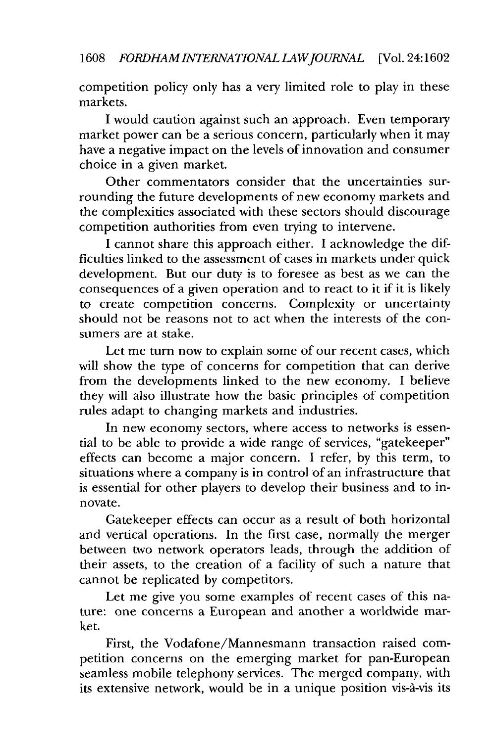competition policy only has a very limited role to play in these markets.

I would caution against such an approach. Even temporary market power can be a serious concern, particularly when it may have a negative impact on the levels of innovation and consumer choice in a given market.

Other commentators consider that the uncertainties surrounding the future developments of new economy markets and the complexities associated with these sectors should discourage competition authorities from even trying to intervene.

I cannot share this approach either. I acknowledge the difficulties linked to the assessment of cases in markets under quick development. But our duty is to foresee as best as we can the consequences of a given operation and to react to it if it is likely to create competition concerns. Complexity or uncertainty should not be reasons not to act when the interests of the consumers are at stake.

Let me turn now to explain some of our recent cases, which will show the type of concerns for competition that can derive from the developments linked to the new economy. I believe they will also illustrate how the basic principles of competition rules adapt to changing markets and industries.

In new economy sectors, where access to networks is essential to be able to provide a wide range of services, "gatekeeper" effects can become a major concern. I refer, by this term, to situations where a company is in control of an infrastructure that is essential for other players to develop their business and to innovate.

Gatekeeper effects can occur as a result of both horizontal and vertical operations. In the first case, normally the merger between two network operators leads, through the addition of their assets, to the creation of a facility of such a nature that cannot be replicated by competitors.

Let me give you some examples of recent cases of this nature: one concerns a European and another a worldwide market.

First, the Vodafone/Mannesmann transaction raised competition concerns on the emerging market for pan-European seamless mobile telephony services. The merged company, with its extensive network, would be in a unique position vis-a-vis its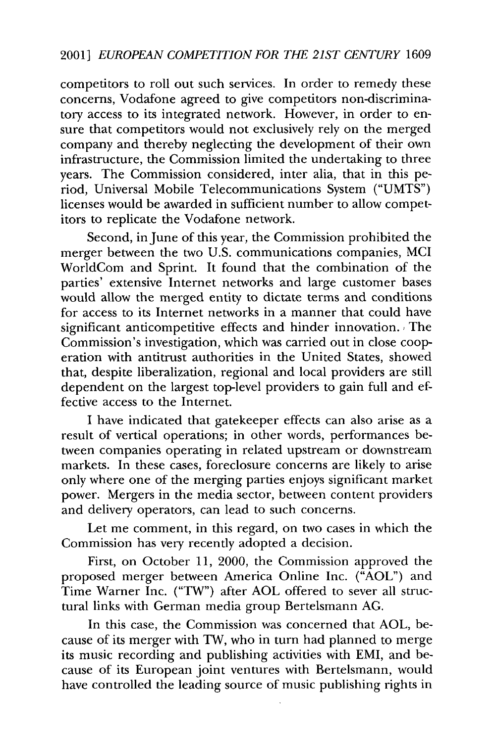competitors to roll out such services. In order to remedy these concerns, Vodafone agreed to give competitors non-discriminatory access to its integrated network. However, in order to ensure that competitors would not exclusively rely on the merged company and thereby neglecting the development of their own infrastructure, the Commission limited the undertaking to three years. The Commission considered, inter alia, that in this period, Universal Mobile Telecommunications System ("UMTS") licenses would be awarded in sufficient number to allow competitors to replicate the Vodafone network.

Second, in June of this year, the Commission prohibited the merger between the two U.S. communications companies, MCI WorldCom and Sprint. It found that the combination of the parties' extensive Internet networks and large customer bases would allow the merged entity to dictate terms and conditions for access to its Internet networks in a manner that could have significant anticompetitive effects and hinder innovation. The Commission's investigation, which was carried out in close cooperation with antitrust authorities in the United States, showed that, despite liberalization, regional and local providers are still dependent on the largest top-level providers to gain full and effective access to the Internet.

I have indicated that gatekeeper effects can also arise as a result of vertical operations; in other words, performances between companies operating in related upstream or downstream markets. In these cases, foreclosure concerns are likely to arise only where one of the merging parties enjoys significant market power. Mergers in the media sector, between content providers and delivery operators, can lead to such concerns.

Let me comment, in this regard, on two cases in which the Commission has very recently adopted a decision.

First, on October 11, 2000, the Commission approved the proposed merger between America Online Inc. ("AOL") and Time Warner Inc. ("TW") after AOL offered to sever all structural links with German media group Bertelsmann AG.

In this case, the Commission was concerned that AOL, because of its merger with TW, who in turn had planned to merge its music recording and publishing activities with EMI, and because of its European joint ventures with Bertelsmann, would have controlled the leading source of music publishing rights in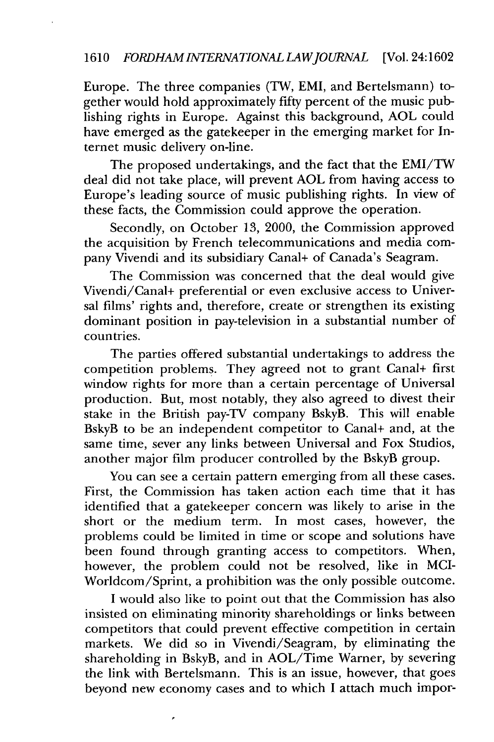# 1610 *FORDHAMINTERNATIONALLAWJOURNAL* [Vol. 24:1602

Europe. The three companies (TW, EMI, and Bertelsmann) together would hold approximately fifty percent of the music publishing rights in Europe. Against this background, AOL could have emerged as the gatekeeper in the emerging market for Internet music delivery on-line.

The proposed undertakings, and the fact that the EMI/TW deal did not take place, will prevent AOL from having access to Europe's leading source of music publishing rights. In view of these facts, the Commission could approve the operation.

Secondly, on October 13, 2000, the Commission approved the acquisition by French telecommunications and media company Vivendi and its subsidiary Canal+ of Canada's Seagram.

The Commission was concerned that the deal would give Vivendi/Canal+ preferential or even exclusive access to Universal films' rights and, therefore, create or strengthen its existing dominant position in pay-television in a substantial number of countries.

The parties offered substantial undertakings to address the competition problems. They agreed not to grant Canal+ first window rights for more than a certain percentage of Universal production. But, most notably, they also agreed to divest their stake in the British pay-TV company BskyB. This will enable BskyB to be an independent competitor to Canal+ and, at the same time, sever any links between Universal and Fox Studios, another major film producer controlled by the BskyB group.

You can see a certain pattern emerging from all these cases. First, the Commission has taken action each time that it has identified that a gatekeeper concern was likely to arise in the short or the medium term. In most cases, however, the problems could be limited in time or scope and solutions have been found through granting access to competitors. When, however, the problem could not be resolved, like in MCI-Worldcom/Sprint, a prohibition was the only possible outcome.

I would also like to point out that the Commission has also insisted on eliminating minority shareholdings or links between competitors that could prevent effective competition in certain markets. We did so in Vivendi/Seagram, by eliminating the shareholding in BskyB, and in AOL/Time Warner, by severing the link with Bertelsmann. This is an issue, however, that goes beyond new economy cases and to which I attach much impor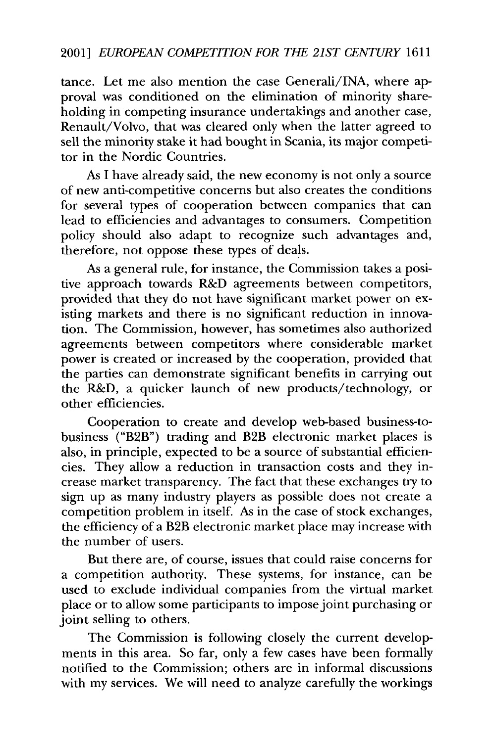tance. Let me also mention the case Generali/INA, where approval was conditioned on the elimination of minority shareholding in competing insurance undertakings and another case, Renault/Volvo, that was cleared only when the latter agreed to sell the minority stake it had bought in Scania, its major competitor in the Nordic Countries.

As I have already said, the new economy is not only a source of new anti-competitive concerns but also creates the conditions for several types of cooperation between companies that can lead to efficiencies and advantages to consumers. Competition policy should also adapt to recognize such advantages and, therefore, not oppose these types of deals.

As a general rule, for instance, the Commission takes a positive approach towards R&D agreements between competitors, provided that they do not have significant market power on existing markets and there is no significant reduction in innovation. The Commission, however, has sometimes also authorized agreements between competitors where considerable market power is created or increased by the cooperation, provided that the parties can demonstrate significant benefits in carrying out the R&D, a quicker launch of new products/technology, or other efficiencies.

Cooperation to create and develop web-based business-tobusiness ("B2B") trading and B2B electronic market places is also, in principle, expected to be a source of substantial efficiencies. They allow a reduction in transaction costs and they increase market transparency. The fact that these exchanges try to sign up as many industry players as possible does not create a competition problem in itself. As in the case of stock exchanges, the efficiency of a B2B electronic market place may increase with the number of users.

But there are, of course, issues that could raise concerns for a competition authority. These systems, for instance, can be used to exclude individual companies from the virtual market place or to allow some participants to impose joint purchasing or joint selling to others.

The Commission is following closely the current developments in this area. So far, only a few cases have been formally notified to the Commission; others are in informal discussions with my services. We will need to analyze carefully the workings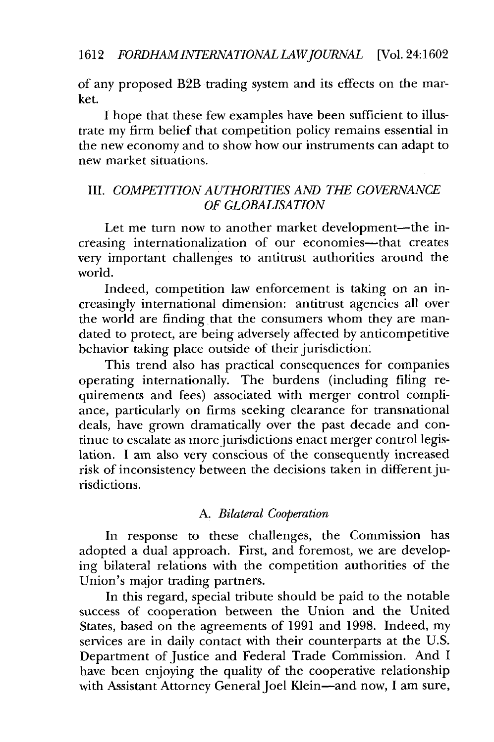of any proposed B2B trading system and its effects on the market.

I hope that these few examples have been sufficient to illustrate my firm belief that competition policy remains essential in the new economy and to show how our instruments can adapt to new market situations.

# III. *COMPETITION AUTHORITIES AND THE GOVERNANCE OF GLOBALISATION*

Let me turn now to another market development-the increasing internationalization of our economies-that creates very important challenges to antitrust authorities around the world.

Indeed, competition law enforcement is taking on an increasingly international dimension: antitrust agencies all over the world are finding that the consumers whom they are mandated to protect, are being adversely affected by anticompetitive behavior taking place outside of their jurisdiction.

This trend also has practical consequences for companies operating internationally. The burdens (including filing requirements and fees) associated with merger control compliance, particularly on firms seeking clearance for transnational deals, have grown dramatically over the past decade and continue to escalate as more jurisdictions enact merger control legislation. I am also very conscious of the consequently increased risk of inconsistency between the decisions taken in different jurisdictions.

## *A. Bilateral Cooperation*

In response to these challenges, the Commission has adopted a dual approach. First, and foremost, we are developing bilateral relations with the competition authorities of the Union's major trading partners.

In this regard, special tribute should be paid to the notable success of cooperation between the Union and the United States, based on the agreements of 1991 and 1998. Indeed, my services are in daily contact with their counterparts at the U.S. Department of Justice and Federal Trade Commission. And I have been enjoying the quality of the cooperative relationship with Assistant Attorney General Joel Klein-and now, I am sure,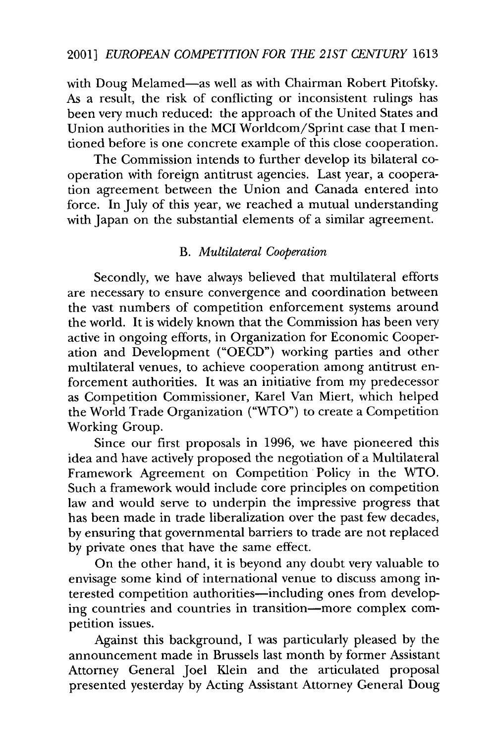with Doug Melamed-as well as with Chairman Robert Pitofsky. As a result, the risk of conflicting or inconsistent rulings has been very much reduced: the approach of the United States and Union authorities in the MCI Worldcom/Sprint case that I mentioned before is one concrete example of this close cooperation.

The Commission intends to further develop its bilateral cooperation with foreign antitrust agencies. Last year, a cooperation agreement between the Union and Canada entered into force. In July of this year, we reached a mutual understanding with Japan on the substantial elements of a similar agreement.

# B. *Multilateral Cooperation*

Secondly, we have always believed that multilateral efforts are necessary to ensure convergence and coordination between the vast numbers of competition enforcement systems around the world. It is widely known that the Commission has been very active in ongoing efforts, in Organization for Economic Cooperation and Development ("OECD") working parties and other multilateral venues, to achieve cooperation among antitrust enforcement authorities. It was an initiative from my predecessor as Competition Commissioner, Karel Van Miert, which helped the World Trade Organization ("WTO") to create a Competition Working Group.

Since our first proposals in 1996, we have pioneered this idea and have actively proposed the negotiation of a Multilateral Framework Agreement on Competition Policy in the WTO. Such a framework would include core principles on competition law and would serve to underpin the impressive progress that has been made in trade liberalization over the past few decades, by ensuring that governmental barriers to trade are not replaced by private ones that have the same effect.

On the other hand, it is beyond any doubt very valuable to envisage some kind of international venue to discuss among interested competition authorities-including ones from developing countries and countries in transition-more complex competition issues.

Against this background, I was particularly pleased by the announcement made in Brussels last month by former Assistant Attorney General Joel Klein and the articulated proposal presented yesterday by Acting Assistant Attorney General Doug